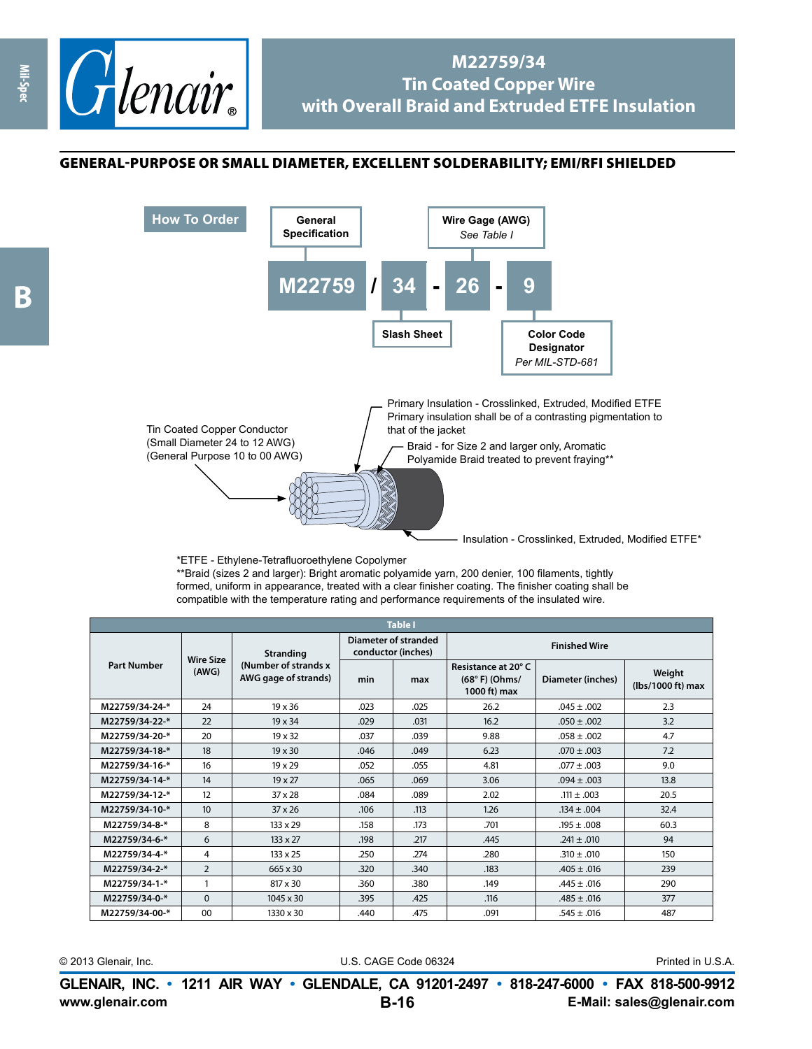

## **M22759/34 Tin Coated Copper Wire with Overall Braid and Extruded ETFE Insulation**

## general-purpose or small diameter, excellent solderability; EMI /RFI shielded



\*ETFE - Ethylene-Tetrafluoroethylene Copolymer

\*\*Braid (sizes 2 and larger): Bright aromatic polyamide yarn, 200 denier, 100 filaments, tightly formed, uniform in appearance, treated with a clear finisher coating. The finisher coating shall be compatible with the temperature rating and performance requirements of the insulated wire.

| <b>Table I</b>     |                           |                                                            |                                                   |      |                                                        |                   |                             |  |
|--------------------|---------------------------|------------------------------------------------------------|---------------------------------------------------|------|--------------------------------------------------------|-------------------|-----------------------------|--|
| <b>Part Number</b> | <b>Wire Size</b><br>(AWG) | Stranding<br>(Number of strands x)<br>AWG gage of strands) | <b>Diameter of stranded</b><br>conductor (inches) |      | <b>Finished Wire</b>                                   |                   |                             |  |
|                    |                           |                                                            | min                                               | max  | Resistance at 20°C<br>$(68° F)$ (Ohms/<br>1000 ft) max | Diameter (inches) | Weight<br>(lbs/1000 ft) max |  |
| M22759/34-24-*     | 24                        | 19 x 36                                                    | .023                                              | .025 | 26.2                                                   | $.045 \pm .002$   | 2.3                         |  |
| M22759/34-22-*     | 22                        | 19 x 34                                                    | .029                                              | .031 | 16.2                                                   | $.050 \pm .002$   | 3.2                         |  |
| M22759/34-20-*     | 20                        | 19 x 32                                                    | .037                                              | .039 | 9.88                                                   | $.058 \pm .002$   | 4.7                         |  |
| M22759/34-18-*     | 18                        | $19 \times 30$                                             | .046                                              | .049 | 6.23                                                   | $.070 \pm .003$   | 7.2                         |  |
| M22759/34-16-*     | 16                        | $19 \times 29$                                             | .052                                              | .055 | 4.81                                                   | $.077 \pm .003$   | 9.0                         |  |
| M22759/34-14-*     | 14                        | 19 x 27                                                    | .065                                              | .069 | 3.06                                                   | $.094 \pm .003$   | 13.8                        |  |
| M22759/34-12-*     | 12                        | $37 \times 28$                                             | .084                                              | .089 | 2.02                                                   | $.111 \pm .003$   | 20.5                        |  |
| M22759/34-10-*     | 10 <sup>10</sup>          | $37 \times 26$                                             | .106                                              | .113 | 1.26                                                   | $.134 \pm .004$   | 32.4                        |  |
| M22759/34-8-*      | 8                         | $133 \times 29$                                            | .158                                              | .173 | .701                                                   | $.195 \pm .008$   | 60.3                        |  |
| M22759/34-6-*      | 6                         | $133 \times 27$                                            | .198                                              | .217 | .445                                                   | $.241 \pm .010$   | 94                          |  |
| M22759/34-4-*      | 4                         | $133 \times 25$                                            | .250                                              | .274 | .280                                                   | $.310 \pm .010$   | 150                         |  |
| M22759/34-2-*      | $\overline{2}$            | 665 x 30                                                   | .320                                              | .340 | .183                                                   | $.405 \pm .016$   | 239                         |  |
| M22759/34-1-*      |                           | $817 \times 30$                                            | .360                                              | .380 | .149                                                   | $.445 \pm .016$   | 290                         |  |
| M22759/34-0-*      | $\Omega$                  | $1045 \times 30$                                           | .395                                              | .425 | .116                                                   | $.485 \pm .016$   | 377                         |  |
| M22759/34-00-*     | 00                        | 1330 x 30                                                  | .440                                              | .475 | .091                                                   | $.545 \pm .016$   | 487                         |  |

© 2013 Glenair, Inc. U.S. CAGE Code 06324 Printed in U.S.A.

**www.glenair.com E-Mail: sales@glenair.com GLENAIR, INC. • 1211 AIR WAY • GLENDALE, CA 91201-2497 • 818-247-6000 • FAX 818-500-9912 B-16**

**Mil-Spec**